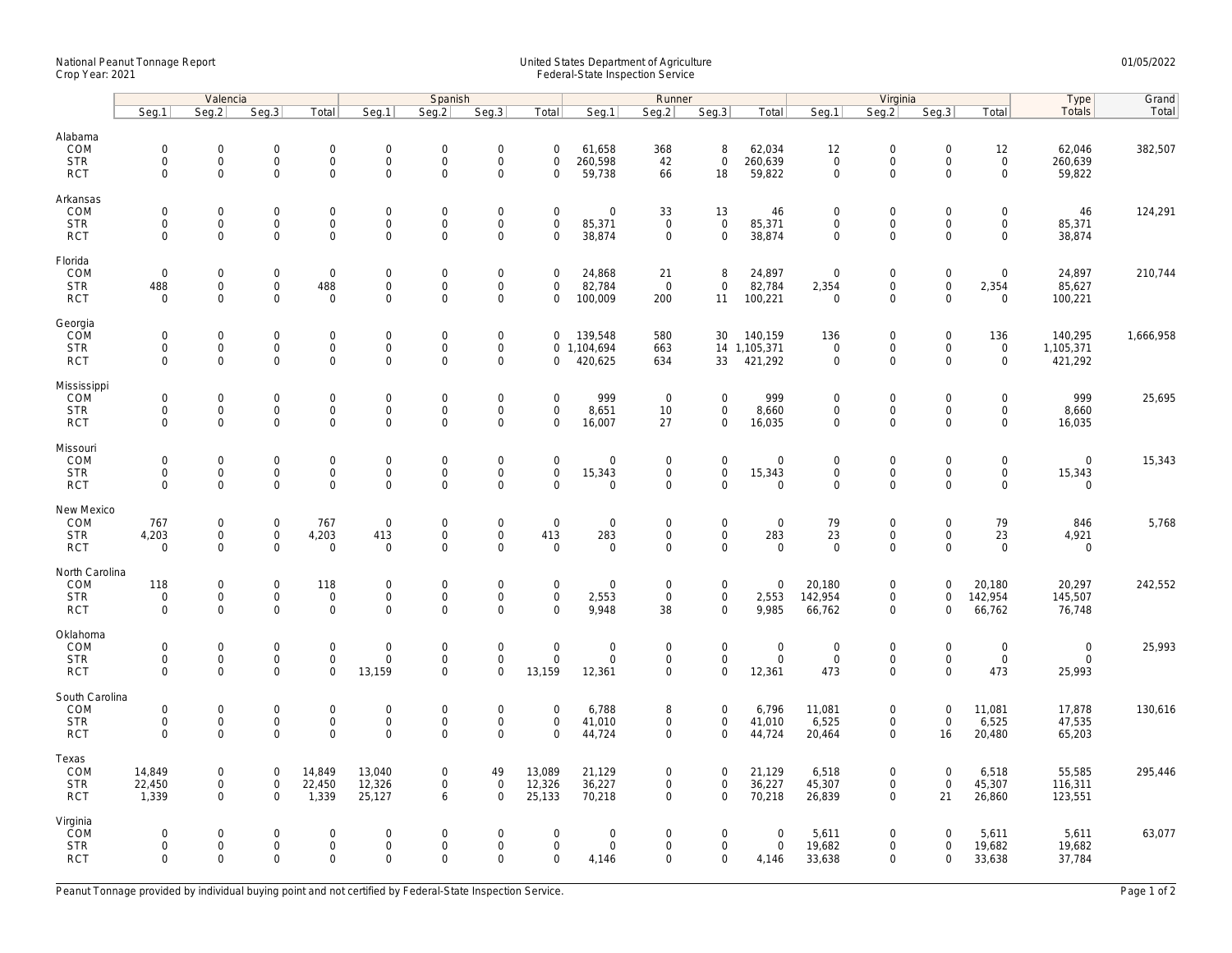## National Peanut Tonnage Report United States Department of Agriculture 01/05/2022 Crop Year: 2021 Federal-State Inspection Service

|                                                       | Valencia                                  |                                                           |                                           |                                                    | Spanish                                           |                                            |                                                                   |                                           |                                              | Runner                                    |                                                    |                                        | Virginia                                          |                                                           |                                                |                                                   | Type                                 | Grand     |
|-------------------------------------------------------|-------------------------------------------|-----------------------------------------------------------|-------------------------------------------|----------------------------------------------------|---------------------------------------------------|--------------------------------------------|-------------------------------------------------------------------|-------------------------------------------|----------------------------------------------|-------------------------------------------|----------------------------------------------------|----------------------------------------|---------------------------------------------------|-----------------------------------------------------------|------------------------------------------------|---------------------------------------------------|--------------------------------------|-----------|
|                                                       | Seg.1                                     | Seg.2                                                     | Seg.3                                     | Total                                              | Seg.1                                             | Seq.2                                      | Seg.3                                                             | Total                                     | Seg.1                                        | Seg.2                                     | Seg.3                                              | Total                                  | Seg.1                                             | Seq.2                                                     | Seg.3                                          | Total                                             | Totals                               | Total     |
| Alabama<br>COM<br><b>STR</b>                          | $\mathbf 0$<br>$\mathbf 0$<br>0           | $\mathsf{O}\xspace$<br>$\mathbf{O}$<br>$\mathbf 0$        | $\mathbf 0$<br>$\mathbf 0$<br>$\mathbf 0$ | $\mathsf{O}\xspace$<br>$\mathbf{0}$<br>$\mathbf 0$ | $\boldsymbol{0}$<br>$\mathsf{O}$<br>$\mathbf 0$   | $\mathbf 0$<br>$\mathbf 0$<br>0            | $\mathsf{O}\xspace$<br>$\mathsf{O}\xspace$<br>$\mathsf{O}\xspace$ | $\mathbf 0$<br>$\mathbf 0$<br>0           | 61,658<br>260,598<br>59,738                  | 368<br>42                                 | 8<br>$\mathbf 0$<br>18                             | 62,034<br>260,639<br>59,822            | 12<br>$\mathbf 0$<br>$\mathsf{O}\xspace$          | $\mathbf 0$<br>$\mathsf{O}$<br>$\Omega$                   | $\mathsf 0$<br>$\mathbf 0$<br>$\Omega$         | 12<br>$\mathsf 0$<br>$\mathbf 0$                  | 62,046<br>260,639<br>59,822          | 382,507   |
| <b>RCT</b><br>Arkansas<br>COM                         | $\mathbf 0$                               | $\mathsf{O}\xspace$                                       | $\mathbf 0$                               | $\mathbf 0$                                        | $\mathbf 0$                                       | $\mathbf 0$                                | $\mathsf{O}\xspace$                                               | $\mathbf 0$                               | $\mathsf{O}\xspace$                          | 66<br>33                                  | 13                                                 | 46                                     | $\mathbf 0$                                       | $\mathsf{O}\xspace$                                       | 0                                              | $\mathsf{O}\xspace$                               | 46                                   | 124,291   |
| <b>STR</b><br><b>RCT</b>                              | $\mathbf 0$<br>$\Omega$                   | $\mathsf{O}\xspace$<br>$\mathbf{0}$                       | $\mathbf 0$<br>$\mathbf 0$                | $\mathbf 0$<br>$\mathbf{0}$                        | $\mathbf 0$<br>$\Omega$                           | $\mathsf 0$<br>$\mathbf 0$                 | $\mathsf 0$<br>$\mathbf 0$                                        | $\mathsf 0$<br>$\Omega$                   | 85,371<br>38,874                             | $\mathbf 0$<br>$\mathbf 0$                | $\mathbf 0$<br>$\mathbf{0}$                        | 85,371<br>38,874                       | $\mathsf{O}\xspace$<br>$\mathbf 0$                | $\mathsf{O}\xspace$<br>$\Omega$                           | $\mathsf 0$<br>$\Omega$                        | $\mathsf{O}$<br>$\mathbf 0$                       | 85,371<br>38,874                     |           |
| Florida<br>COM<br><b>STR</b><br><b>RCT</b>            | $\mathbf 0$<br>488<br>$\mathbf 0$         | $\mathbf{0}$<br>$\mathsf{O}\xspace$<br>$\mathbf 0$        | $\mathbf 0$<br>0<br>$\mathbf 0$           | $\mathbf 0$<br>488<br>$\mathbf 0$                  | $\mathsf{O}$<br>$\mathsf{O}$<br>$\mathbf 0$       | $\mathbf 0$<br>$\mathbf 0$<br>$\mathbf 0$  | $\mathbf 0$<br>$\mathsf{O}\xspace$<br>$\mathbf 0$                 | $\mathbf 0$<br>0<br>$\mathbf 0$           | 24,868<br>82,784<br>100,009                  | 21<br>$\overline{0}$<br>200               | 8<br>$\mathbf 0$<br>11                             | 24,897<br>82,784<br>100,221            | $\overline{0}$<br>2,354<br>$\overline{0}$         | $\mathbf 0$<br>$\mathsf{O}\xspace$<br>$\mathbf 0$         | $\mathbf 0$<br>$\mathsf{O}\xspace$<br>$\Omega$ | $\mathbf 0$<br>2,354<br>$\mathbf 0$               | 24,897<br>85,627<br>100,221          | 210,744   |
| Georgia<br>COM<br><b>STR</b><br><b>RCT</b>            | $\mathbf 0$<br>0<br>$\mathbf 0$           | $\mathsf{O}\xspace$<br>$\mathsf{O}\xspace$<br>$\mathbf 0$ | $\mathbf 0$<br>$\mathbf 0$<br>$\mathbf 0$ | $\mathsf{O}\xspace$<br>0<br>$\mathbf 0$            | $\mathbf 0$<br>$\mathsf{O}\xspace$<br>$\mathbf 0$ | $\mathbf 0$<br>$\mathbf 0$<br>$\mathbf 0$  | $\mathsf{O}\xspace$<br>$\mathsf{O}\xspace$<br>$\mathbf 0$         | $\mathbf 0$<br>$\mathbf 0$                | 139,548<br>0 1,104,694<br>420,625            | 580<br>663<br>634                         | 30<br>33                                           | 140,159<br>14 1,105,371<br>421,292     | 136<br>$\mathbf 0$<br>$\mathsf{O}\xspace$         | $\mathsf{O}\xspace$<br>$\mathsf{O}\xspace$<br>$\mathbf 0$ | $\mathsf 0$<br>0<br>$\mathbf 0$                | 136<br>$\mathsf{O}\xspace$<br>$\mathbf 0$         | 140,295<br>1,105,371<br>421,292      | 1,666,958 |
| Mississippi<br><b>COM</b><br><b>STR</b><br><b>RCT</b> | $\mathbf 0$<br>$\mathbf 0$<br>$\mathbf 0$ | $\mathsf{O}\xspace$<br>$\mathbf 0$<br>$\mathsf{O}\xspace$ | $\mathbf 0$<br>$\mathbf 0$<br>0           | $\mathsf{O}\xspace$<br>$\mathbf{O}$<br>$\mathbf 0$ | $\mathbf 0$<br>$\mathsf{O}$<br>$\mathbf 0$        | $\mathbf 0$<br>$\mathbf 0$<br>$\mathbf 0$  | $\mathsf{O}\xspace$<br>$\mathbf 0$<br>$\mathbf 0$                 | $\mathbf 0$<br>$\mathbf 0$<br>$\mathbf 0$ | 999<br>8,651<br>16,007                       | $\overline{0}$<br>10<br>27                | $\mathsf{O}\xspace$<br>$\mathbf{O}$<br>$\mathbf 0$ | 999<br>8,660<br>16,035                 | $\mathbf 0$<br>$\mathbf 0$<br>$\mathbf 0$         | $\mathsf{O}\xspace$<br>$\mathbf 0$<br>$\mathbf 0$         | $\Omega$<br>$\mathbf 0$<br>$\mathbf 0$         | $\mathbf 0$<br>$\mathbf{0}$<br>$\mathbf 0$        | 999<br>8,660<br>16,035               | 25,695    |
| Missouri<br>COM<br><b>STR</b><br><b>RCT</b>           | $\mathbf 0$<br>$\mathbf 0$<br>$\Omega$    | $\mathsf{O}\xspace$<br>$\mathbf 0$<br>$\mathbf{0}$        | $\mathbf 0$<br>$\mathbf 0$<br>$\mathbf 0$ | $\mathsf{O}\xspace$<br>$\mathbf 0$<br>$\mathbf{0}$ | $\mathbf 0$<br>$\mathbf 0$<br>$\mathbf{0}$        | $\mathbf 0$<br>$\mathsf 0$<br>$\mathbf 0$  | $\mathsf{O}\xspace$<br>$\mathsf{O}\xspace$<br>$\mathbf 0$         | $\mathbf 0$<br>$\mathsf 0$<br>$\Omega$    | $\mathsf{O}\xspace$<br>15,343<br>$\mathbf 0$ | $\mathbf 0$<br>$\mathbf 0$<br>$\mathbf 0$ | $\mathsf{O}\xspace$<br>$\mathbf 0$<br>$\Omega$     | $\mathbf 0$<br>15,343<br>$\mathbf{0}$  | $\mathbf 0$<br>$\mathsf{O}\xspace$<br>$\mathbf 0$ | $\mathsf{O}\xspace$<br>$\mathbf 0$<br>$\Omega$            | $\overline{0}$<br>$\mathbf 0$<br>$\Omega$      | $\mathsf{O}\xspace$<br>$\mathbf 0$<br>$\mathbf 0$ | $\mathbf 0$<br>15,343<br>$\mathbf 0$ | 15,343    |
| New Mexico<br>COM<br><b>STR</b><br><b>RCT</b>         | 767<br>4,203<br>$\mathbf 0$               | 0<br>$\mathsf{O}\xspace$<br>$\mathbf 0$                   | $\mathbf 0$<br>$\mathsf 0$<br>$\mathbf 0$ | 767<br>4,203<br>$\mathbf 0$                        | $\boldsymbol{0}$<br>413<br>$\mathbf 0$            | $\mathbf 0$<br>$\mathsf 0$<br>$\mathbf{0}$ | $\mathsf{O}\xspace$<br>$\mathsf{O}\xspace$<br>$\mathbf 0$         | $\mathbf 0$<br>413<br>$\mathbf 0$         | $\mathbf 0$<br>283<br>$\mathbf 0$            | $\mathbf 0$<br>$\mathbf 0$<br>$\mathbf 0$ | $\mathsf{O}\xspace$<br>$\mathbf 0$<br>$\mathbf{0}$ | $\mathsf{O}$<br>283<br>$\mathbf 0$     | 79<br>23<br>$\mathbf 0$                           | $\mathbf 0$<br>$\mathsf{O}\xspace$<br>$\mathbf 0$         | 0<br>$\mathbf 0$<br>$\Omega$                   | 79<br>23<br>$\mathbf 0$                           | 846<br>4,921<br>$\mathbf 0$          | 5,768     |
| North Carolina<br>COM<br><b>STR</b><br><b>RCT</b>     | 118<br>$\mathbf 0$<br>$\mathbf 0$         | $\mathbf 0$<br>$\mathsf{O}\xspace$<br>$\mathbf 0$         | $\mathbf 0$<br>$\mathsf 0$<br>$\mathbf 0$ | 118<br>$\mathbf 0$<br>$\mathbf 0$                  | $\mathbf 0$<br>$\mathsf{O}$<br>$\mathbf 0$        | $\mathbf 0$<br>$\mathsf 0$<br>$\mathbf 0$  | $\mathbf 0$<br>$\mathsf 0$<br>$\mathbf 0$                         | $\mathbf 0$<br>$\mathsf 0$<br>$\Omega$    | $\mathbf 0$<br>2,553<br>9,948                | 0<br>$\mathsf 0$<br>38                    | $\mathbf 0$<br>$\mathbf 0$<br>$\mathbf 0$          | $\mathbf 0$<br>2,553<br>9,985          | 20,180<br>142,954<br>66,762                       | $\mathbf 0$<br>$\mathbf 0$<br>$\mathbf 0$                 | $\Omega$<br>$\mathbf 0$<br>$\Omega$            | 20,180<br>142,954<br>66,762                       | 20,297<br>145,507<br>76,748          | 242,552   |
| Oklahoma<br>COM<br><b>STR</b><br><b>RCT</b>           | $\mathbf 0$<br>$\mathbf 0$<br>$\mathbf 0$ | $\mathsf{O}\xspace$<br>$\mathsf{O}\xspace$<br>$\mathbf 0$ | $\mathbf 0$<br>$\mathbf 0$<br>$\mathbf 0$ | $\mathbf 0$<br>$\mathbf 0$<br>$\mathbf 0$          | $\mathbf 0$<br>$\mathsf{O}$<br>13,159             | $\mathbf 0$<br>$\mathbf 0$<br>$\Omega$     | $\mathsf{O}\xspace$<br>$\mathbf 0$<br>$\mathbf 0$                 | $\mathbf 0$<br>$\mathbf 0$<br>13,159      | $\mathbf 0$<br>$\mathbf 0$<br>12,361         | $\mathbf 0$<br>$\mathbf 0$<br>$\mathbf 0$ | $\mathbf{0}$<br>$\overline{0}$<br>$\mathbf 0$      | $\mathbf 0$<br>$\mathsf{O}$<br>12,361  | $\mathbf 0$<br>$\mathsf{O}\xspace$<br>473         | $\mathsf{O}\xspace$<br>$\mathsf{O}\xspace$<br>$\mathbf 0$ | $\mathbf 0$<br>$\mathbf 0$<br>$\Omega$         | $\mathsf{O}\xspace$<br>$\mathsf{O}\xspace$<br>473 | $\mathbf 0$<br>$\mathbf 0$<br>25,993 | 25,993    |
| South Carolina<br>COM<br><b>STR</b><br><b>RCT</b>     | $\mathbf 0$<br>$\mathbf 0$<br>$\Omega$    | $\mathsf{O}\xspace$<br>$\mathsf{O}\xspace$<br>$\Omega$    | $\mathbf 0$<br>$\mathbf 0$<br>$\Omega$    | $\mathbf 0$<br>$\mathsf{O}\xspace$<br>$\mathbf 0$  | $\mathbf 0$<br>$\mathbf 0$<br>$\Omega$            | $\mathbf 0$<br>$\mathsf 0$<br>$\Omega$     | $\mathsf{O}\xspace$<br>$\mathsf{O}\xspace$<br>$\Omega$            | $\mathbf 0$<br>$\mathsf 0$<br>$\Omega$    | 6,788<br>41,010<br>44,724                    | 8<br>0<br>$\Omega$                        | $\mathbf 0$<br>$\mathbf 0$<br>$\mathbf 0$          | 6,796<br>41,010<br>44,724              | 11,081<br>6,525<br>20,464                         | $\mathsf{O}\xspace$<br>$\mathsf{O}\xspace$<br>$\mathbf 0$ | $\mathbf 0$<br>$\mathsf 0$<br>16               | 11,081<br>6,525<br>20,480                         | 17,878<br>47,535<br>65,203           | 130,616   |
| Texas<br>COM<br><b>STR</b><br><b>RCT</b>              | 14,849<br>22,450<br>1,339                 | $\mathbf 0$<br>$\mathsf{O}\xspace$<br>$\mathbf{0}$        | $\mathbf 0$<br>$\mathbf 0$<br>$\mathbf 0$ | 14,849<br>22,450<br>1,339                          | 13,040<br>12,326<br>25,127                        | $\mathbf 0$<br>$\mathbf 0$<br>6            | 49<br>$\mathsf 0$<br>$\Omega$                                     | 13,089<br>12,326<br>25,133                | 21,129<br>36,227<br>70,218                   | 0<br>0<br>$\mathbf 0$                     | $\mathbf 0$<br>$\mathbf 0$<br>$\mathbf{0}$         | 21,129<br>36,227<br>70,218             | 6,518<br>45,307<br>26,839                         | $\mathbf 0$<br>$\mathsf{O}\xspace$<br>$\mathbf 0$         | $\mathbf 0$<br>$\mathsf 0$<br>21               | 6,518<br>45,307<br>26,860                         | 55,585<br>116,311<br>123,551         | 295,446   |
| Virginia<br>COM<br><b>STR</b><br><b>RCT</b>           | $\mathbf 0$<br>$\mathbf 0$<br>$\mathbf 0$ | $\mathbf{0}$<br>$\mathsf{O}\xspace$<br>$\mathbf 0$        | $\mathbf 0$<br>$\mathbf 0$<br>$\mathbf 0$ | $\mathbf 0$<br>$\mathsf{O}\xspace$<br>$\mathbf 0$  | $\mathbf 0$<br>$\mathsf{O}$<br>$\mathbf 0$        | $\mathbf 0$<br>$\mathsf 0$<br>$\Omega$     | $\mathbf 0$<br>$\mathsf{O}\xspace$<br>$\mathbf 0$                 | $\mathbf 0$<br>$\mathbf 0$<br>$\mathbf 0$ | $\mathbf 0$<br>$\mathsf{O}\xspace$<br>4,146  | 0<br>0<br>0                               | $\mathbf 0$<br>$\mathbf 0$<br>$\mathbf 0$          | $\overline{0}$<br>$\mathsf 0$<br>4,146 | 5,611<br>19,682<br>33,638                         | $\mathbf 0$<br>$\mathsf{O}\xspace$<br>$\mathbf 0$         | $\Omega$<br>$\mathbf 0$<br>$\mathbf 0$         | 5,611<br>19,682<br>33,638                         | 5,611<br>19,682<br>37,784            | 63,077    |

Peanut Tonnage provided by individual buying point and not certified by Federal-State Inspection Service. Page 1 of 2